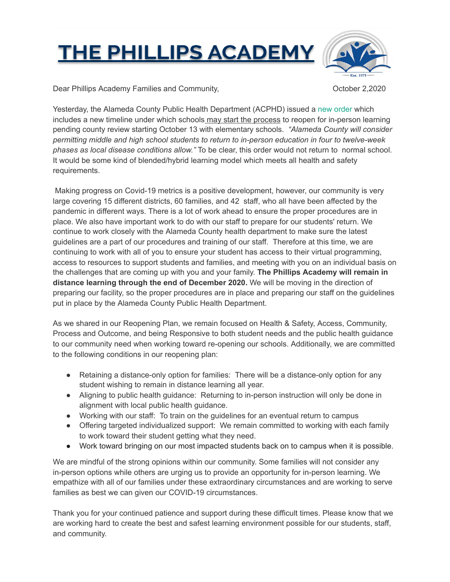## **THE PHILLIPS ACADEMY**



Dear Phillips Academy Families and Community,  $October 2,2020$ 

Yesterday, the Alameda County Public Health Department (ACPHD) issued a [new order](https://t.e2ma.net/click/lv7djd/hse2eeg/5a94jl) which includes a new timeline under which schools may start the process to reopen for in-person learning pending county review starting October 13 with elementary schools. *"Alameda County will consider permitting middle and high school students to return to in-person education in four to twelve-week phases as local disease conditions allow."* To be clear, this order would not return to normal school. It would be some kind of blended/hybrid learning model which meets all health and safety requirements.

 Making progress on Covid-19 metrics is a positive development, however, our community is very large covering 15 different districts, 60 families, and 42 staff, who all have been affected by the pandemic in different ways. There is a lot of work ahead to ensure the proper procedures are in place. We also have important work to do with our staff to prepare for our students' return. We continue to work closely with the Alameda County health department to make sure the latest guidelines are a part of our procedures and training of our staff. Therefore at this time, we are continuing to work with all of you to ensure your student has access to their virtual programming, access to resources to support students and families, and meeting with you on an individual basis on the challenges that are coming up with you and your family. **The Phillips Academy will remain in distance learning through the end of December 2020.** We will be moving in the direction of preparing our facility, so the proper procedures are in place and preparing our staff on the guidelines put in place by the Alameda County Public Health Department.

As we shared in our Reopening Plan, we remain focused on Health & Safety, Access, Community, Process and Outcome, and being Responsive to both student needs and the public health guidance to our community need when working toward re-opening our schools. Additionally, we are committed to the following conditions in our reopening plan:

- Retaining a distance-only option for families: There will be a distance-only option for any student wishing to remain in distance learning all year.
- Aligning to public health guidance: Returning to in-person instruction will only be done in alignment with local public health guidance.
- Working with our staff: To train on the guidelines for an eventual return to campus
- Offering targeted individualized support: We remain committed to working with each family to work toward their student getting what they need.
- Work toward bringing on our most impacted students back on to campus when it is possible.

We are mindful of the strong opinions within our community. Some families will not consider any in-person options while others are urging us to provide an opportunity for in-person learning. We empathize with all of our families under these extraordinary circumstances and are working to serve families as best we can given our COVID-19 circumstances.

Thank you for your continued patience and support during these difficult times. Please know that we are working hard to create the best and safest learning environment possible for our students, staff, and community.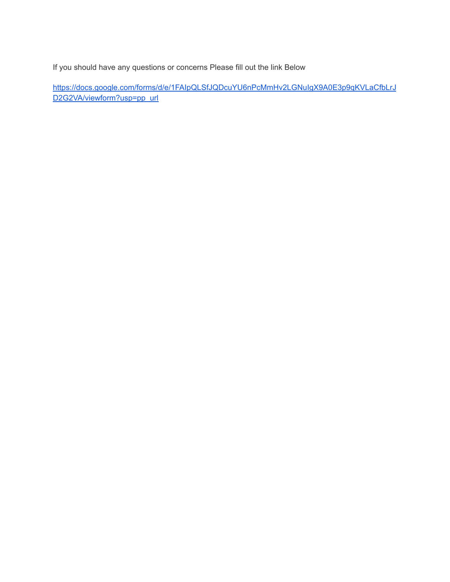If you should have any questions or concerns Please fill out the link Below

[https://docs.google.com/forms/d/e/1FAIpQLSfJQDcuYU6nPcMmHv2LGNuIgX9A0E3p9qKVLaCfbLrJ](https://docs.google.com/forms/d/e/1FAIpQLSfJQDcuYU6nPcMmHv2LGNuIgX9A0E3p9qKVLaCfbLrJD2G2VA/viewform?usp=pp_url) D2G2VA/viewform?usp=pp\_url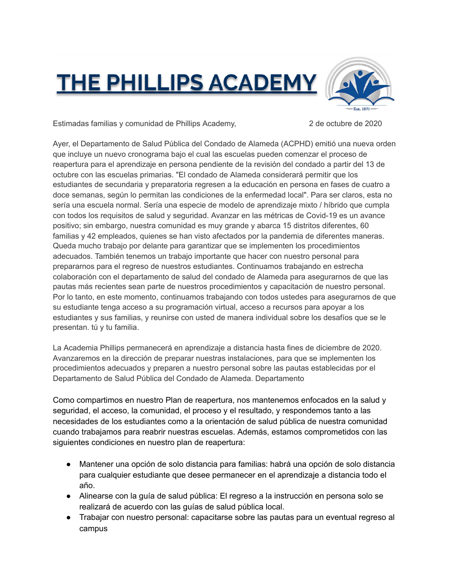## **THE PHILLIPS ACADEMY**



Estimadas familias y comunidad de Phillips Academy, 2 de octubre de 2020

Ayer, el Departamento de Salud Pública del Condado de Alameda (ACPHD) emitió una nueva orden que incluye un nuevo cronograma bajo el cual las escuelas pueden comenzar el proceso de reapertura para el aprendizaje en persona pendiente de la revisión del condado a partir del 13 de octubre con las escuelas primarias. "El condado de Alameda considerará permitir que los estudiantes de secundaria y preparatoria regresen a la educación en persona en fases de cuatro a doce semanas, según lo permitan las condiciones de la enfermedad local". Para ser claros, esta no sería una escuela normal. Sería una especie de modelo de aprendizaje mixto / híbrido que cumpla con todos los requisitos de salud y seguridad. Avanzar en las métricas de Covid-19 es un avance positivo; sin embargo, nuestra comunidad es muy grande y abarca 15 distritos diferentes, 60 familias y 42 empleados, quienes se han visto afectados por la pandemia de diferentes maneras. Queda mucho trabajo por delante para garantizar que se implementen los procedimientos adecuados. También tenemos un trabajo importante que hacer con nuestro personal para prepararnos para el regreso de nuestros estudiantes. Continuamos trabajando en estrecha colaboración con el departamento de salud del condado de Alameda para asegurarnos de que las pautas más recientes sean parte de nuestros procedimientos y capacitación de nuestro personal. Por lo tanto, en este momento, continuamos trabajando con todos ustedes para asegurarnos de que su estudiante tenga acceso a su programación virtual, acceso a recursos para apoyar a los estudiantes y sus familias, y reunirse con usted de manera individual sobre los desafíos que se le presentan. tú y tu familia.

La Academia Phillips permanecerá en aprendizaje a distancia hasta fines de diciembre de 2020. Avanzaremos en la dirección de preparar nuestras instalaciones, para que se implementen los procedimientos adecuados y preparen a nuestro personal sobre las pautas establecidas por el Departamento de Salud Pública del Condado de Alameda. Departamento

Como compartimos en nuestro Plan de reapertura, nos mantenemos enfocados en la salud y seguridad, el acceso, la comunidad, el proceso y el resultado, y respondemos tanto a las necesidades de los estudiantes como a la orientación de salud pública de nuestra comunidad cuando trabajamos para reabrir nuestras escuelas. Además, estamos comprometidos con las siguientes condiciones en nuestro plan de reapertura:

- Mantener una opción de solo distancia para familias: habrá una opción de solo distancia para cualquier estudiante que desee permanecer en el aprendizaje a distancia todo el año.
- Alinearse con la guía de salud pública: El regreso a la instrucción en persona solo se realizará de acuerdo con las guías de salud pública local.
- Trabajar con nuestro personal: capacitarse sobre las pautas para un eventual regreso al campus